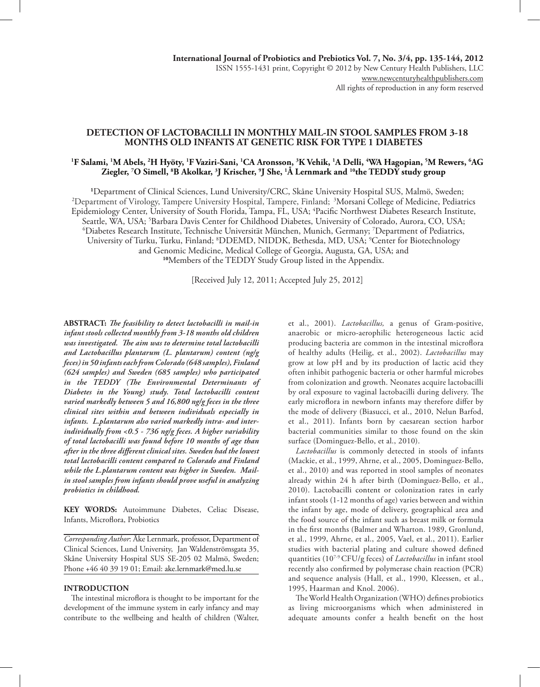# **DETECTION OF LACTOBACILLI IN MONTHLY MAIL-IN STOOL SAMPLES FROM 3-18 MONTHS OLD INFANTS AT GENETIC RISK FOR TYPE 1 DIABETES**

## **1 F Salami, 1 M Abels, 2 H Hyöty, 1 F Vaziri-Sani, 1 CA Aronsson, 3 K Vehik, 1 A Delli, 4 WA Hagopian, 5 M Rewers, 6 AG Ziegler, 7 O Simell, 8 B Akolkar, 3 J Krischer, 9 J She, 1 Å Lernmark and 10the TEDDY study group**

<sup>1</sup>Department of Clinical Sciences, Lund University/CRC, Skåne University Hospital SUS, Malmö, Sweden;<br><sup>2</sup>Department of Virology Tampere University Hospital, Tampere, Finland: <sup>3</sup>Morsani College of Medicine, Pediatr <sup>2</sup>Department of Virology, Tampere University Hospital, Tampere, Finland; <sup>3</sup>Morsani College of Medicine, Pediatrics Epidemiology Center, University of South Florida, Tampa, FL, USA; 4 Pacific Northwest Diabetes Research Institute, Seattle, WA, USA; 5 Barbara Davis Center for Childhood Diabetes, University of Colorado, Aurora, CO, USA; 6 Diabetes Research Institute, Technische Universität München, Munich, Germany; 7 Department of Pediatrics, University of Turku, Turku, Finland; <sup>8</sup>DDEMD, NIDDK, Bethesda, MD, USA; <sup>9</sup>Center for Biotechnology and Genomic Medicine, Medical College of Georgia, Augusta, GA, USA; and **<sup>10</sup>**Members of the TEDDY Study Group listed in the Appendix.

[Received July 12, 2011; Accepted July 25, 2012]

**ABSTRACT:** *The feasibility to detect lactobacilli in mail-in infant stools collected monthly from 3-18 months old children was investigated. The aim was to determine total lactobacilli and Lactobacillus plantarum (L. plantarum) content (ng/g feces) in 50 infants each from Colorado (648 samples), Finland (624 samples) and Sweden (685 samples) who participated in the TEDDY (The Environmental Determinants of Diabetes in the Young) study. Total lactobacilli content varied markedly between 5 and 16,800 ng/g feces in the three clinical sites within and between individuals especially in infants. L.plantarum also varied markedly intra- and interindividually from <0.5 - 736 ng/g feces. A higher variability of total lactobacilli was found before 10 months of age than after in the three different clinical sites. Sweden had the lowest total lactobacilli content compared to Colorado and Finland while the L.plantarum content was higher in Sweden. Mailin stool samples from infants should prove useful in analyzing probiotics in childhood.*

**KEY WORDS:** Autoimmune Diabetes, Celiac Disease, Infants, Microflora, Probiotics

*Corresponding Author*: Åke Lernmark, professor, Department of Clinical Sciences, Lund University, Jan Waldenströmsgata 35, Skåne University Hospital SUS SE-205 02 Malmö, Sweden; Phone +46 40 39 19 01; Email: ake.lernmark@med.lu.se

#### **INTRODUCTION**

The intestinal microflora is thought to be important for the development of the immune system in early infancy and may contribute to the wellbeing and health of children (Walter, et al., 2001). *Lactobacillus,* a genus of Gram-positive, anaerobic or micro-aerophilic heterogeneous lactic acid producing bacteria are common in the intestinal microflora of healthy adults (Heilig, et al., 2002). *Lactobacillus* may grow at low pH and by its production of lactic acid they often inhibit pathogenic bacteria or other harmful microbes from colonization and growth. Neonates acquire lactobacilli by oral exposure to vaginal lactobacilli during delivery. The early microflora in newborn infants may therefore differ by the mode of delivery (Biasucci, et al., 2010, Nelun Barfod, et al., 2011). Infants born by caesarean section harbor bacterial communities similar to those found on the skin surface (Dominguez-Bello, et al., 2010).

*Lactobacillus* is commonly detected in stools of infants (Mackie, et al., 1999, Ahrne, et al., 2005, Dominguez-Bello, et al., 2010) and was reported in stool samples of neonates already within 24 h after birth (Dominguez-Bello, et al., 2010). Lactobacilli content or colonization rates in early infant stools (1-12 months of age) varies between and within the infant by age, mode of delivery, geographical area and the food source of the infant such as breast milk or formula in the first months (Balmer and Wharton. 1989, Gronlund, et al., 1999, Ahrne, et al., 2005, Vael, et al., 2011). Earlier studies with bacterial plating and culture showed defined quantities (107-9 CFU/g feces) of *Lactobacillus* in infant stool recently also confirmed by polymerase chain reaction (PCR) and sequence analysis (Hall, et al., 1990, Kleessen, et al., 1995, Haarman and Knol. 2006).

The World Health Organization (WHO) defines probiotics as living microorganisms which when administered in adequate amounts confer a health benefit on the host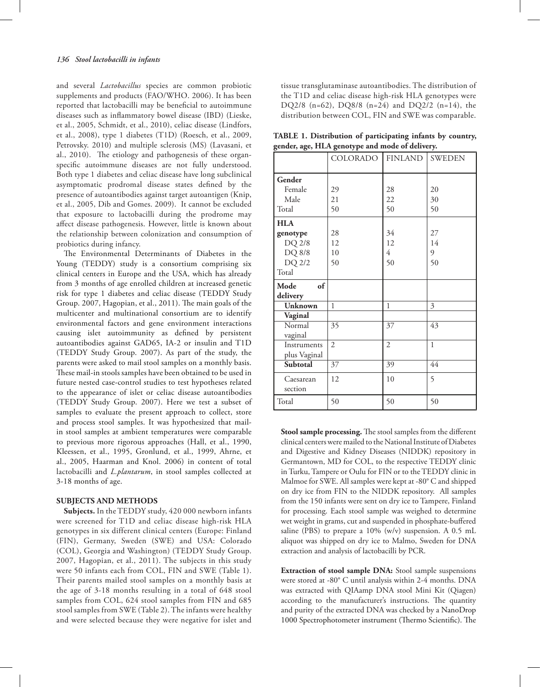and several *Lactobacillus* species are common probiotic supplements and products (FAO/WHO. 2006). It has been reported that lactobacilli may be beneficial to autoimmune diseases such as inflammatory bowel disease (IBD) (Lieske, et al., 2005, Schmidt, et al., 2010), celiac disease (Lindfors, et al., 2008), type 1 diabetes (T1D) (Roesch, et al., 2009, Petrovsky. 2010) and multiple sclerosis (MS) (Lavasani, et al., 2010). The etiology and pathogenesis of these organspecific autoimmune diseases are not fully understood. Both type 1 diabetes and celiac disease have long subclinical asymptomatic prodromal disease states defined by the presence of autoantibodies against target autoantigen (Knip, et al., 2005, Dib and Gomes. 2009). It cannot be excluded that exposure to lactobacilli during the prodrome may affect disease pathogenesis. However, little is known about the relationship between colonization and consumption of probiotics during infancy.

The Environmental Determinants of Diabetes in the Young (TEDDY) study is a consortium comprising six clinical centers in Europe and the USA, which has already from 3 months of age enrolled children at increased genetic risk for type 1 diabetes and celiac disease (TEDDY Study Group. 2007, Hagopian, et al., 2011). The main goals of the multicenter and multinational consortium are to identify environmental factors and gene environment interactions causing islet autoimmunity as defined by persistent autoantibodies against GAD65, IA-2 or insulin and T1D (TEDDY Study Group. 2007). As part of the study, the parents were asked to mail stool samples on a monthly basis. These mail-in stools samples have been obtained to be used in future nested case-control studies to test hypotheses related to the appearance of islet or celiac disease autoantibodies (TEDDY Study Group. 2007). Here we test a subset of samples to evaluate the present approach to collect, store and process stool samples. It was hypothesized that mailin stool samples at ambient temperatures were comparable to previous more rigorous approaches (Hall, et al., 1990, Kleessen, et al., 1995, Gronlund, et al., 1999, Ahrne, et al., 2005, Haarman and Knol. 2006) in content of total lactobacilli and *L.plantarum*, in stool samples collected at 3-18 months of age.

#### **SUBJECTS AND METHODS**

**Subjects.** In the TEDDY study, 420 000 newborn infants were screened for T1D and celiac disease high-risk HLA genotypes in six different clinical centers (Europe: Finland (FIN), Germany, Sweden (SWE) and USA: Colorado (COL), Georgia and Washington) (TEDDY Study Group. 2007, Hagopian, et al., 2011). The subjects in this study were 50 infants each from COL, FIN and SWE (Table 1). Their parents mailed stool samples on a monthly basis at the age of 3-18 months resulting in a total of 648 stool samples from COL, 624 stool samples from FIN and 685 stool samples from SWE (Table 2). The infants were healthy and were selected because they were negative for islet and

tissue transglutaminase autoantibodies. The distribution of the T1D and celiac disease high-risk HLA genotypes were DQ2/8 (n=62), DQ8/8 (n=24) and DQ2/2 (n=14), the distribution between COL, FIN and SWE was comparable.

**TABLE 1. Distribution of participating infants by country, gender, age, HLA genotype and mode of delivery.**

|              | COLORADO        | <b>FINLAND</b>  | <b>SWEDEN</b> |  |
|--------------|-----------------|-----------------|---------------|--|
| Gender       |                 |                 |               |  |
| Female       | 29              | 28              | 20            |  |
| Male         | 21              | 22              | 30            |  |
| Total        | 50              | 50              | 50            |  |
| <b>HLA</b>   |                 |                 |               |  |
| genotype     | 28              | 34              | 27            |  |
| DQ 2/8       | 12              | 12              | 14            |  |
| DQ 8/8       | 10              | 4               | 9             |  |
| DQ 2/2       | 50              | 50              | 50            |  |
| Total        |                 |                 |               |  |
| Mode<br>of   |                 |                 |               |  |
| delivery     |                 |                 |               |  |
| Unknown      | 1               | 1               | 3             |  |
| Vaginal      |                 |                 |               |  |
| Normal       | $\overline{35}$ | $\overline{37}$ | 43            |  |
| vaginal      |                 |                 |               |  |
| Instruments  | $\overline{2}$  | $\overline{2}$  | $\mathbf{1}$  |  |
| plus Vaginal |                 |                 |               |  |
| Subtotal     | 37              | 39              | 44            |  |
| Caesarean    | 12              | 10              | 5             |  |
| section      |                 |                 |               |  |
| Total        | 50              | 50              | 50            |  |

**Stool sample processing.** The stool samples from the different clinical centers were mailed to the National Institute of Diabetes and Digestive and Kidney Diseases (NIDDK) repository in Germantown, MD for COL, to the respective TEDDY clinic in Turku, Tampere or Oulu for FIN or to the TEDDY clinic in Malmoe for SWE. All samples were kept at -80° C and shipped on dry ice from FIN to the NIDDK repository. All samples from the 150 infants were sent on dry ice to Tampere, Finland for processing. Each stool sample was weighed to determine wet weight in grams, cut and suspended in phosphate-buffered saline (PBS) to prepare a 10% (w/v) suspension. A 0.5 mL aliquot was shipped on dry ice to Malmo, Sweden for DNA extraction and analysis of lactobacilli by PCR.

**Extraction of stool sample DNA:** Stool sample suspensions were stored at -80° C until analysis within 2-4 months. DNA was extracted with QIAamp DNA stool Mini Kit (Qiagen) according to the manufacturer's instructions. The quantity and purity of the extracted DNA was checked by a NanoDrop 1000 Spectrophotometer instrument (Thermo Scientific). The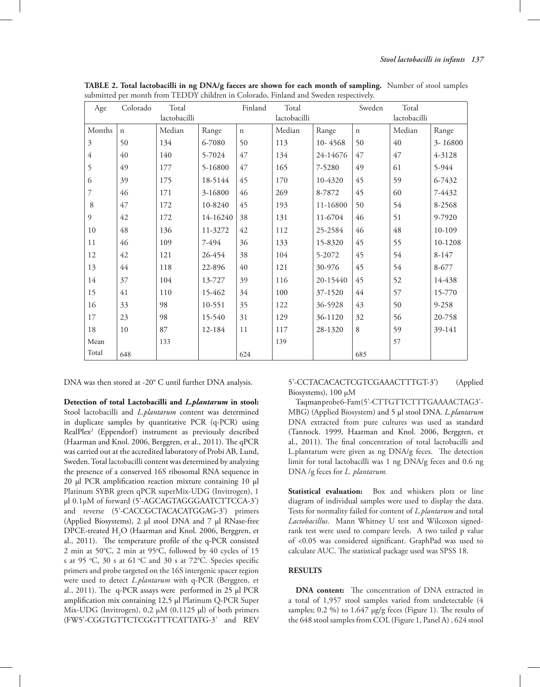| Age            | Colorado    | Total        |          | Finland     | Total        |          | Sweden      | Total        |           |
|----------------|-------------|--------------|----------|-------------|--------------|----------|-------------|--------------|-----------|
|                |             | lactobacilli |          |             | lactobacilli |          |             | lactobacilli |           |
| Months         | $\mathbf n$ | Median       | Range    | $\mathbf n$ | Median       | Range    | $\mathbf n$ | Median       | Range     |
| 3              | 50          | 134          | 6-7080   | 50          | 113          | 10-4568  | 50          | 40           | 3-16800   |
| $\overline{4}$ | 40          | 140          | 5-7024   | 47          | 134          | 24-14676 | 47          | 47           | 4-3128    |
| 5              | 49          | 177          | 5-16800  | 47          | 165          | 7-5280   | 49          | 61           | 5-944     |
| 6              | 39          | 175          | 18-5144  | 45          | 170          | 10-4320  | 45          | 59           | 6-7432    |
| $\overline{7}$ | 46          | 171          | 3-16800  | 46          | 269          | 8-7872   | 45          | 60           | 7-4432    |
| 8              | 47          | 172          | 10-8240  | 45          | 193          | 11-16800 | 50          | 54           | 8-2568    |
| 9              | 42          | 172          | 14-16240 | 38          | 131          | 11-6704  | 46          | 51           | 9-7920    |
| $10\,$         | 48          | 136          | 11-3272  | 42          | 112          | 25-2584  | 46          | 48           | 10-109    |
| 11             | 46          | 109          | 7-494    | 36          | 133          | 15-8320  | 45          | 55           | 10-1208   |
| 12             | 42          | 121          | 26-454   | 38          | 104          | 5-2072   | 45          | 54           | $8 - 147$ |
| 13             | 44          | 118          | 22-896   | 40          | 121          | 30-976   | 45          | 54           | 8-677     |
| 14             | 37          | 104          | 13-727   | 39          | 116          | 20-15440 | 45          | 52           | 14-438    |
| 15             | 41          | 110          | 15-462   | 34          | 100          | 37-1520  | 44          | 57           | 15-770    |
| 16             | 33          | 98           | 10-551   | 35          | 122          | 36-5928  | 43          | 50           | 9-258     |
| 17             | 23          | 98           | 15-540   | 31          | 129          | 36-1120  | 32          | 56           | 20-758    |
| 18             | 10          | 87           | 12-184   | 11          | 117          | 28-1320  | 8           | 59           | 39-141    |
| Mean           |             | 133          |          |             | 139          |          |             | 57           |           |
| Total          | 648         |              |          | 624         |              |          | 685         |              |           |

**TABLE 2. Total lactobacilli in ng DNA/g faeces are shown for each month of sampling.** Number of stool samples submitted per month from TEDDY children in Colorado, Finland and Sweden respectively.

DNA was then stored at -20° C until further DNA analysis.

**Detection of total Lactobacilli and** *L.plantarum* **in stool:**  Stool lactobacilli and *L.plantarum* content was determined in duplicate samples by quantitative PCR (q-PCR) using RealPlex2 (Eppendorf) instrument as previously described (Haarman and Knol. 2006, Berggren, et al., 2011). The qPCR was carried out at the accredited laboratory of Probi AB, Lund, Sweden. Total lactobacilli content was determined by analyzing the presence of a conserved 16S ribosomal RNA sequence in 20 µl PCR amplification reaction mixture containing 10 µl Platinum SYBR green qPCR superMix-UDG (Invitrogen), 1 µl 0.1µM of forward (5'-AGCAGTAGGGAATCTTCCA-3') and reverse (5'-CACCGCTACACATGGAG-3') primers (Applied Biosystems), 2 µl stool DNA and 7 µl RNase-free DPCE-treated  $H_2O$  (Haarman and Knol. 2006, Berggren, et al., 2011). The temperature profile of the q-PCR consisted 2 min at 50°C, 2 min at 95°C, followed by 40 cycles of 15 s at 95 °C, 30 s at 61 °C and 30 s at 72°C. Species specific primers and probe targeted on the 16S intergenic spacer region were used to detect *L.plantarum* with q-PCR (Berggren, et al., 2011). The q-PCR assays were performed in 25 µl PCR amplification mix containing 12,5 µl Platinum Q-PCR Super Mix-UDG (Invitrogen),  $0,2 \mu M$  (0,1125  $\mu$ l) of both primers (FW5'-CGGTGTTCTCGGTTTCATTATG-3' and REV

# 5'-CCTACACACTCGTCGAAACTTTGT-3') (Applied Biosystems), 100 µM

Taqman probe 6-Fam (5'-CTTGTTCTTTGAAAACTAG3'-MBG) (Applied Biosystem) and 5 µl stool DNA. *L.plantarum* DNA extracted from pure cultures was used as standard (Tannock. 1999, Haarman and Knol. 2006, Berggren, et al., 2011). The final concentration of total lactobacilli and L.plantarum were given as ng DNA/g feces. The detection limit for total lactobacilli was 1 ng DNA/g feces and 0.6 ng DNA /g feces for *L. plantarum*.

**Statistical evaluation:** Box and whiskers plots or line diagram of individual samples were used to display the data. Tests for normality failed for content of *L.plantarum* and total *Lactobacillus*. Mann Whitney U test and Wilcoxon signedrank test were used to compare levels. A two tailed p value of <0.05 was considered significant. GraphPad was used to calculate AUC. The statistical package used was SPSS 18.

## **RESULTS**

**DNA content:** The concentration of DNA extracted in a total of 1,957 stool samples varied from undetectable (4 samples; 0.2 %) to 1,647 µg/g feces (Figure 1). The results of the 648 stool samples from COL (Figure 1, Panel A) , 624 stool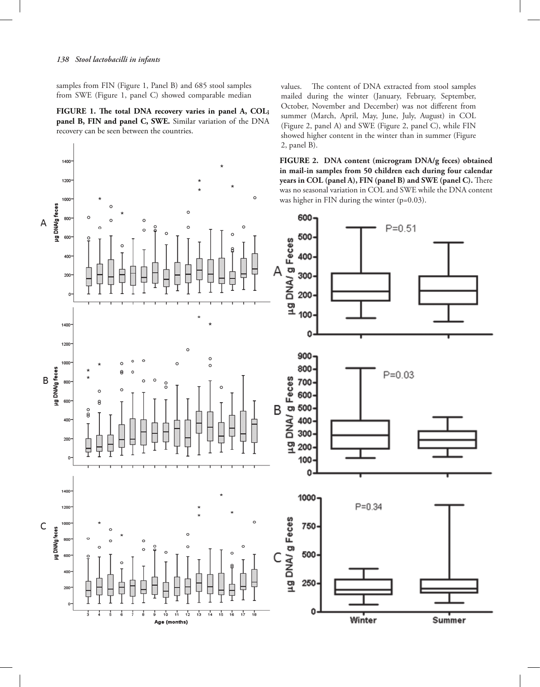### *138 Stool lactobacilli in infants*

samples from FIN (Figure 1, Panel B) and 685 stool samples from SWE (Figure 1, panel C) showed comparable median

**FIGURE 1. The total DNA recovery varies in panel A, COL; panel B, FIN and panel C, SWE.** Similar variation of the DNA recovery can be seen between the countries.

**FIGURE 2. DNA content (microgram DNA/g feces) obtained**  1400 **in mail-in samples from 50 children each during four calendar years in COL (panel A), FIN (panel B) and SWE (panel C).** There 1200 was no seasonal variation in COL and SWE while the DNA content ò 1000 was higher in FIN during the winter (p=0.03). µg DNA/g feces 600 800  $\overline{\mathsf{A}}$  $P = 0.51$ 500 600 µg DNA/g Feces 400 400 A 200 300 Γ  $\circ$ 200 100 1400 0 1200  $900<sub>1</sub>$  $\circ$ 1000  $\circ$ 800 µg DNA/g feces  $P = 0.03$ 19<br>DNA/ g Feces<br>3<br>3<br>3<br>3<br>3<br>3  $\overline{B}$ 800 600 8 B  $\frac{0}{8}$ 400 200 부 o 100 0 1400 1000  $P = 0.34$ 1200 µg DNA/g Feces  $\mathsf{C}$ 1000 750 µg DNA/g feces 800 C 500 600 400 250 Ê 200 L  $\circ$ 0  $\frac{1}{3}$  $10^{-1}$ ń  $12$  $\frac{1}{13}$  $\frac{1}{14}$  $15$  $\frac{1}{16}$  $17$ ᠼ Winter Summer Age (months)

2, panel B).

values. The content of DNA extracted from stool samples mailed during the winter (January, February, September, October, November and December) was not different from summer (March, April, May, June, July, August) in COL (Figure 2, panel A) and SWE (Figure 2, panel C), while FIN showed higher content in the winter than in summer (Figure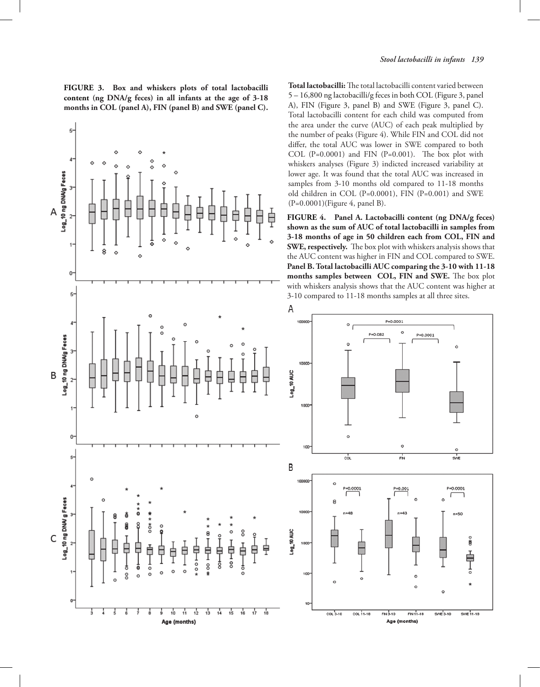**FIGURE 3. Box and whiskers plots of total lactobacilli content (ng DNA/g feces) in all infants at the age of 3-18 months in COL (panel A), FIN (panel B) and SWE (panel C).** 



Total lactobacilli: The total lactobacilli content varied between 5 – 16,800 ng lactobacilli/g feces in both COL (Figure 3, panel A), FIN (Figure 3, panel B) and SWE (Figure 3, panel C). Total lactobacilli content for each child was computed from the area under the curve (AUC) of each peak multiplied by the number of peaks (Figure 4). While FIN and COL did not differ, the total AUC was lower in SWE compared to both COL  $(P=0.0001)$  and FIN  $(P=0.001)$ . The box plot with whiskers analyses (Figure 3) indicted increased variability at lower age. It was found that the total AUC was increased in samples from 3-10 months old compared to 11-18 months old children in COL (P=0.0001), FIN (P=0.001) and SWE (P=0.0001)(Figure 4, panel B).

**FIGURE 4. Panel A. Lactobacilli content (ng DNA/g feces) shown as the sum of AUC of total lactobacilli in samples from 3-18 months of age in 50 children each from COL, FIN and SWE, respectively.** The box plot with whiskers analysis shows that the AUC content was higher in FIN and COL compared to SWE. **Panel B. Total lactobacilli AUC comparing the 3-10 with 11-18**  months samples between COL, FIN and SWE. The box plot with whiskers analysis shows that the AUC content was higher at 3-10 compared to 11-18 months samples at all three sites.

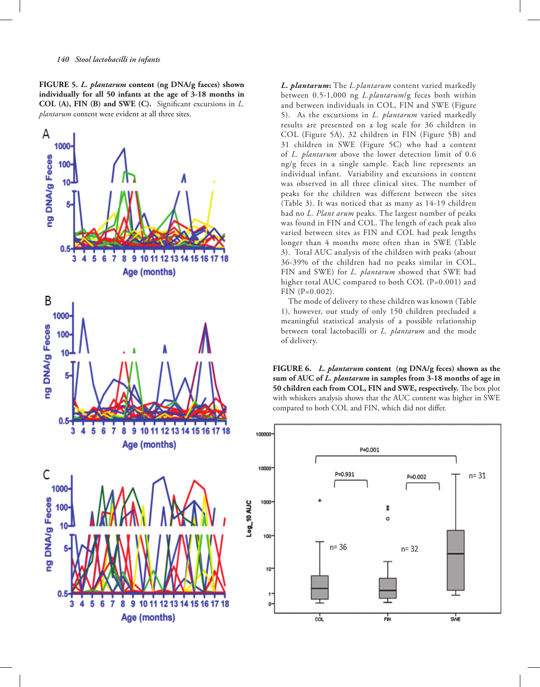*140 Stool lactobacilli in infants*

**FIGURE 5.** *L. plantarum* **content (ng DNA/g faeces) shown individually for all 50 infants at the age of 3-18 months in COL (A), FIN (B) and SWE (C).** Significant excursions in *L. plantarum* content were evident at all three sites.



*L. plantarum***:** The *L.plantarum* content varied markedly between 0.5-1,000 ng *L.plantarum*/g feces both within and between individuals in COL, FIN and SWE (Figure 5). As the excursions in *L. plantarum* varied markedly results are presented on a log scale for 36 children in COL (Figure 5A), 32 children in FIN (Figure 5B) and 31 children in SWE (Figure 5C) who had a content of *L. plantarum* above the lower detection limit of 0.6 ng/g feces in a single sample. Each line represents an individual infant. Variability and excursions in content was observed in all three clinical sites. The number of peaks for the children was different between the sites (Table 3). It was noticed that as many as 14-19 children had no *L. Plant arum* peaks. The largest number of peaks was found in FIN and COL. The length of each peak also varied between sites as FIN and COL had peak lengths longer than 4 months more often than in SWE (Table 3). Total AUC analysis of the children with peaks (about 36-39% of the children had no peaks similar in COL, FIN and SWE) for *L. plantarum* showed that SWE had higher total AUC compared to both COL (P=0.001) and FIN (P=0.002).

The mode of delivery to these children was known (Table 1), however, our study of only 150 children precluded a meaningful statistical analysis of a possible relationship between total lactobacilli or *L. plantarum* and the mode of delivery.

**FIGURE 6.** *L. plantarum* **content (ng DNA/g feces) shown as the sum of AUC of** *L. plantarum* **in samples from 3-18 months of age in 50 children each from COL, FIN and SWE, respectively.** The box plot with whiskers analysis shows that the AUC content was higher in SWE compared to both COL and FIN, which did not differ.

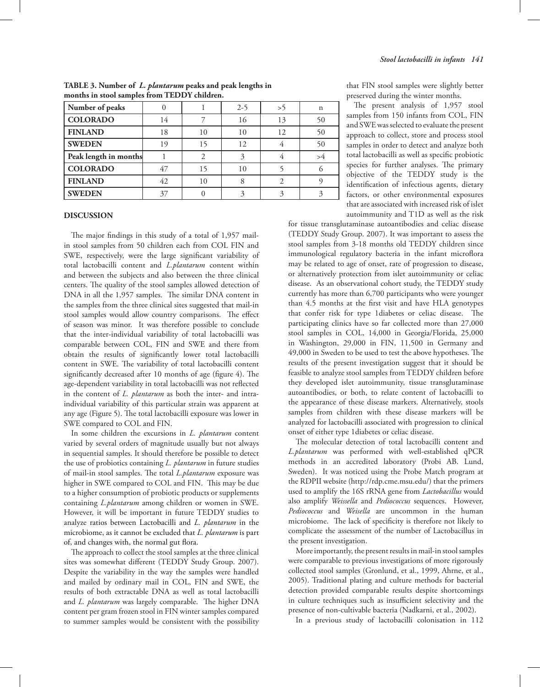| Number of peaks       |    |    | $2 - 5$ | >5 | n  |
|-----------------------|----|----|---------|----|----|
| <b>COLORADO</b>       | 14 |    | 16      | 13 | 50 |
| <b>FINLAND</b>        | 18 | 10 | 10      | 12 | 50 |
| <b>SWEDEN</b>         | 19 |    | 12      |    | 50 |
| Peak length in months |    |    |         |    | >4 |
| <b>COLORADO</b>       | 47 |    | 10      |    |    |
| <b>FINLAND</b>        | 42 | 10 |         |    |    |
| <b>SWEDEN</b>         | 37 |    |         |    |    |

**TABLE 3. Number of** *L. plantarum* **peaks and peak lengths in months in stool samples from TEDDY children.**

#### **DISCUSSION**

The major findings in this study of a total of 1,957 mailin stool samples from 50 children each from COL FIN and SWE, respectively, were the large significant variability of total lactobacilli content and *L.plantarum* content within and between the subjects and also between the three clinical centers. The quality of the stool samples allowed detection of DNA in all the 1,957 samples. The similar DNA content in the samples from the three clinical sites suggested that mail-in stool samples would allow country comparisons. The effect of season was minor. It was therefore possible to conclude that the inter-individual variability of total lactobacilli was comparable between COL, FIN and SWE and there from obtain the results of significantly lower total lactobacilli content in SWE. The variability of total lactobacilli content significantly decreased after 10 months of age (figure 4). The age-dependent variability in total lactobacilli was not reflected in the content of *L. plantarum* as both the inter- and intraindividual variability of this particular strain was apparent at any age (Figure 5). The total lactobacilli exposure was lower in SWE compared to COL and FIN.

In some children the excursions in *L. plantarum* content varied by several orders of magnitude usually but not always in sequential samples. It should therefore be possible to detect the use of probiotics containing *L. plantarum* in future studies of mail-in stool samples. The total *L.plantarum* exposure was higher in SWE compared to COL and FIN. This may be due to a higher consumption of probiotic products or supplements containing *L.plantarum* among children or women in SWE. However, it will be important in future TEDDY studies to analyze ratios between Lactobacilli and *L. plantarum* in the microbiome, as it cannot be excluded that *L. plantarum* is part of, and changes with, the normal gut flora.

The approach to collect the stool samples at the three clinical sites was somewhat different (TEDDY Study Group. 2007). Despite the variability in the way the samples were handled and mailed by ordinary mail in COL, FIN and SWE, the results of both extractable DNA as well as total lactobacilli and *L. plantarum* was largely comparable. The higher DNA content per gram frozen stool in FIN winter samples compared to summer samples would be consistent with the possibility that FIN stool samples were slightly better preserved during the winter months.

The present analysis of 1,957 stool samples from 150 infants from COL, FIN and SWE was selected to evaluate the present approach to collect, store and process stool samples in order to detect and analyze both total lactobacilli as well as specific probiotic species for further analyses. The primary objective of the TEDDY study is the identification of infectious agents, dietary factors, or other environmental exposures that are associated with increased risk of islet autoimmunity and T1D as well as the risk

for tissue transglutaminase autoantibodies and celiac disease (TEDDY Study Group. 2007). It was important to assess the stool samples from 3-18 months old TEDDY children since immunological regulatory bacteria in the infant microflora may be related to age of onset, rate of progression to disease, or alternatively protection from islet autoimmunity or celiac disease. As an observational cohort study, the TEDDY study currently has more than 6,700 participants who were younger than 4.5 months at the first visit and have HLA genotypes that confer risk for type 1diabetes or celiac disease. The participating clinics have so far collected more than 27,000 stool samples in COL, 14,000 in Georgia/Florida, 25,000 in Washington, 29,000 in FIN, 11,500 in Germany and 49,000 in Sweden to be used to test the above hypotheses. The results of the present investigation suggest that it should be feasible to analyze stool samples from TEDDY children before they developed islet autoimmunity, tissue transglutaminase autoantibodies, or both, to relate content of lactobacilli to the appearance of these disease markers. Alternatively, stools samples from children with these disease markers will be analyzed for lactobacilli associated with progression to clinical onset of either type 1diabetes or celiac disease.

The molecular detection of total lactobacilli content and *L.plantarum* was performed with well-established qPCR methods in an accredited laboratory (Probi AB. Lund, Sweden). It was noticed using the Probe Match program at the RDPII website (http://rdp.cme.msu.edu/) that the primers used to amplify the 16S rRNA gene from *Lactobacillus* would also amplify *Weissella* and *Pediococcus* sequences. However, *Pediococcus* and *Weisella* are uncommon in the human microbiome. The lack of specificity is therefore not likely to complicate the assessment of the number of Lactobacillus in the present investigation.

More importantly, the present results in mail-in stool samples were comparable to previous investigations of more rigorously collected stool samples (Gronlund, et al., 1999, Ahrne, et al., 2005). Traditional plating and culture methods for bacterial detection provided comparable results despite shortcomings in culture techniques such as insufficient selectivity and the presence of non-cultivable bacteria (Nadkarni, et al., 2002).

In a previous study of lactobacilli colonisation in 112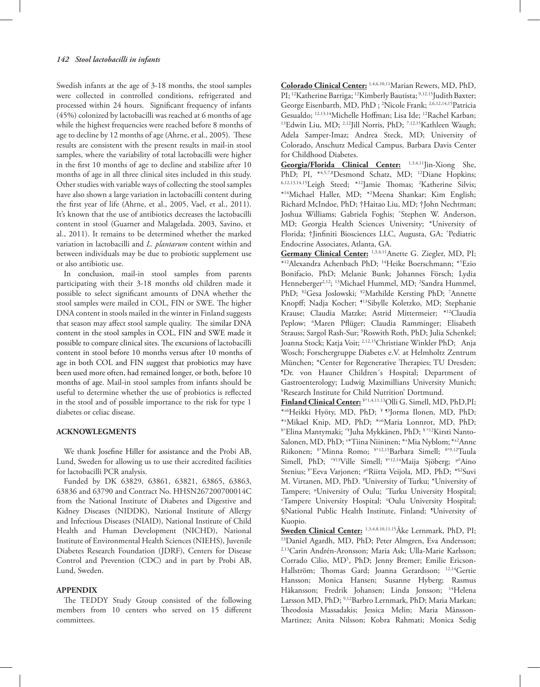Swedish infants at the age of 3-18 months, the stool samples were collected in controlled conditions, refrigerated and processed within 24 hours. Significant frequency of infants (45%) colonized by lactobacilli was reached at 6 months of age while the highest frequencies were reached before 8 months of age to decline by 12 months of age (Ahrne, et al., 2005). These results are consistent with the present results in mail-in stool samples, where the variability of total lactobacilli were higher in the first 10 months of age to decline and stabilize after 10 months of age in all three clinical sites included in this study. Other studies with variable ways of collecting the stool samples have also shown a large variation in lactobacilli content during the first year of life (Ahrne, et al., 2005, Vael, et al., 2011). It's known that the use of antibiotics decreases the lactobacilli content in stool (Guarner and Malagelada. 2003, Savino, et al., 2011). It remains to be determined whether the marked variation in lactobacilli and *L. plantarum* content within and between individuals may be due to probiotic supplement use or also antibiotic use.

In conclusion, mail-in stool samples from parents participating with their 3-18 months old children made it possible to select significant amounts of DNA whether the stool samples were mailed in COL, FIN or SWE. The higher DNA content in stools mailed in the winter in Finland suggests that season may affect stool sample quality. The similar DNA content in the stool samples in COL, FIN and SWE made it possible to compare clinical sites. The excursions of lactobacilli content in stool before 10 months versus after 10 months of age in both COL and FIN suggest that probiotics may have been used more often, had remained longer, or both, before 10 months of age. Mail-in stool samples from infants should be useful to determine whether the use of probiotics is reflected in the stool and of possible importance to the risk for type 1 diabetes or celiac disease.

## **ACKNOWLEGMENTS**

We thank Josefine Hiller for assistance and the Probi AB, Lund, Sweden for allowing us to use their accredited facilities for lactobacilli PCR analysis.

Funded by DK 63829, 63861, 63821, 63865, 63863, 63836 and 63790 and Contract No. HHSN267200700014C from the National Institute of Diabetes and Digestive and Kidney Diseases (NIDDK), National Institute of Allergy and Infectious Diseases (NIAID), National Institute of Child Health and Human Development (NICHD), National Institute of Environmental Health Sciences (NIEHS), Juvenile Diabetes Research Foundation (JDRF), Centers for Disease Control and Prevention (CDC) and in part by Probi AB, Lund, Sweden.

## **APPENDIX**

The TEDDY Study Group consisted of the following members from 10 centers who served on 15 different committees.

**Colorado Clinical Center:** 1,4,6,10,11Marian Rewers, MD, PhD, PI; <sup>12</sup>Katherine Barriga; <sup>12</sup>Kimberly Bautista; <sup>9,12,15</sup>Judith Baxter; George Eisenbarth, MD, PhD; <sup>2</sup>Nicole Frank; <sup>2,6,12,14,15</sup> Patricia Gesualdo; 12,13,14Michelle Hoffman; Lisa Ide; 12Rachel Karban; 13Edwin Liu, MD; 2,12Jill Norris, PhD; 7,12,15Kathleen Waugh; Adela Samper-Imaz; Andrea Steck, MD; University of Colorado, Anschutz Medical Campus, Barbara Davis Center for Childhood Diabetes.

**Georgia/Florida Clinical Center:** 1,3,4,11Jin-Xiong She, PhD; PI, \*4,5,7,8Desmond Schatz, MD; <sup>12</sup>Diane Hopkins; 6,12,13,14,15Leigh Steed; \*12Jamie Thomas; 2 Katherine Silvis; \*14Michael Haller, MD; \*2 Meena Shankar; Kim English; Richard McIndoe, PhD; †Haitao Liu, MD; †John Nechtman; Joshua Williams; Gabriela Foghis; ^ Stephen W. Anderson, MD; Georgia Health Sciences University; \*University of Florida; †Jinfiniti Biosciences LLC, Augusta, GA; ^ Pediatric Endocrine Associates, Atlanta, GA.

**Germany Clinical Center:** 1,3,4,11Anette G. Ziegler, MD, PI; \*12Alexandra Achenbach PhD; 14Heike Boerschmann; \*5 Ezio Bonifacio, PhD; Melanie Bunk; Johannes Försch; Lydia Henneberger<sup>2,12</sup>; <sup>13</sup>Michael Hummel, MD; <sup>2</sup>Sandra Hummel, PhD; ¥2Gesa Joslowski; ¥2Mathilde Kersting PhD; 7 Annette Knopff; Nadja Kocher; <sup>913</sup>Sibylle Koletzko, MD; Stephanie Krause; Claudia Matzke; Astrid Mittermeier; \*12Claudia Peplow; 6 Maren Pflüger; Claudia Ramminger; Elisabeth Strauss; Sargol Rash-Sur; <sup>9</sup> Roswith Roth, PhD; Julia Schenkel; Joanna Stock; Katja Voit; 2,12,15Christiane Winkler PhD; Anja Wosch; Forschergruppe Diabetes e.V. at Helmholtz Zentrum München; \*Center for Regenerative Therapies; TU Dresden; ¶ Dr. von Hauner Children´s Hospital; Department of Gastroenterology; Ludwig Maximillians University Munich; ¥ Research Institute for Child Nutrition' Dortmund.

**Finland Clinical Center:** ¥^1,4,11,13Olli G. Simell, MD, PhD,PI; \*±6Heikki Hyöty, MD, PhD; ¥ ¶3Jorma Ilonen, MD, PhD; \*\*Mikael Knip, MD, PhD; \*\* 6Maria Lonnrot, MD, PhD; \*^Elina Mantymaki; ^\*Juha Mykkänen, PhD; \*^12Kirsti Nanto-Salonen, MD, PhD; ± \*Tiina Niininen; \*± Mia Nyblom;\*±2Anne Riikonen; ¥^Minna Romo; ¥^12,15Barbara Simell; ¥^9,12Tuula Simell, PhD; ^\\\$13Ville Simell; \\\$12,14Maija Sjöberg; \\\$14Maino Stenius; <sup>¥^</sup>Eeva Varjonen; <sup>µ¤</sup>Riitta Veijola, MD, PhD; <sup>\*§2</sup>Suvi M. Virtanen, MD, PhD. ¥ University of Turku; \*University of Tampere; "University of Oulu; ^Turku University Hospital;<br>"Tampere University Hospital: "Oulu University Hospital: Tampere University Hospital; ¤ Oulu University Hospital; §National Public Health Institute, Finland; ¶ University of

Kuopio.<br>Sweden Clinical Center: 1,3,4,8,10,11,15 Åke Lernmark, PhD, PI; <sup>13</sup>Daniel Agardh, MD, PhD; Peter Almgren, Eva Andersson; 2,13Carin Andrén-Aronsson; Maria Ask; Ulla-Marie Karlsson; Corrado Cilio, MD<sup>5</sup>, PhD; Jenny Bremer; Emilie Ericson-Hallström; Thomas Gard; Joanna Gerardsson; 12,14Gertie Hansson; Monica Hansen; Susanne Hyberg; Rasmus Håkansson; Fredrik Johansen; Linda Jonsson; 14Helena Larsson MD, PhD; 9,12Barbro Lernmark, PhD; Maria Markan; Theodosia Massadakis; Jessica Melin; Maria Månsson-Martinez; Anita Nilsson; Kobra Rahmati; Monica Sedig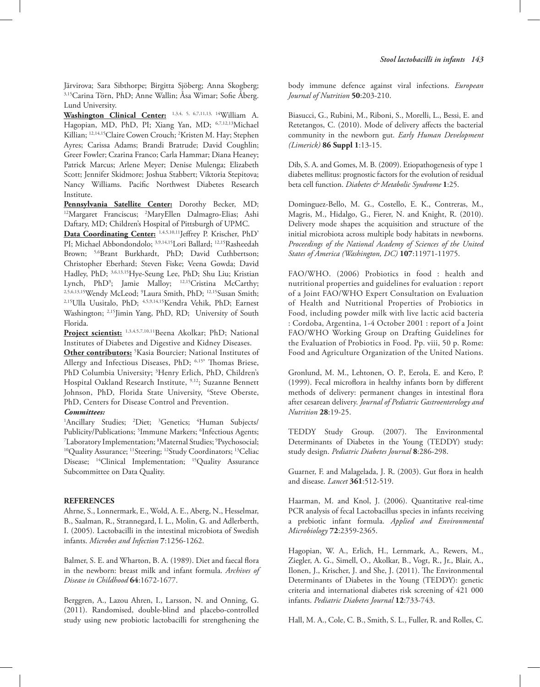Järvirova; Sara Sibthorpe; Birgitta Sjöberg; Anna Skogberg; 3,15Carina Törn, PhD; Anne Wallin; Åsa Wimar; Sofie Åberg. Lund University.

**Washington Clinical Center:** 1,3,4, 5, 6,7,11,13, 14William A. Hagopian, MD, PhD, PI; Xiang Yan, MD; 6,7,12,13Michael Killian; 12,14,15Claire Cowen Crouch; 2 Kristen M. Hay; Stephen Ayres; Carissa Adams; Brandi Bratrude; David Coughlin; Greer Fowler; Czarina Franco; Carla Hammar; Diana Heaney; Patrick Marcus; Arlene Meyer; Denise Mulenga; Elizabeth Scott; Jennifer Skidmore; Joshua Stabbert; Viktoria Stepitova; Nancy Williams. Pacific Northwest Diabetes Research Institute.

**Pennsylvania Satellite Center:** Dorothy Becker, MD; 12Margaret Franciscus; 2 MaryEllen Dalmagro-Elias; Ashi Daftary, MD; Children's Hospital of Pittsburgh of UPMC.

**Data Coordinating Center:** 1,4,5,10,11Jeffrey P. Krischer, PhD' PI; Michael Abbondondolo; 3,9,14,15Lori Ballard; <sup>12,15</sup>Rasheedah Brown; 5,6Brant Burkhardt, PhD; David Cuthbertson; Christopher Eberhard; Steven Fiske; Veena Gowda; David Hadley, PhD; 3,6,13,15Hye-Seung Lee, PhD; Shu Liu; Kristian Lynch, PhD<sup>9</sup>; Jamie Malloy; <sup>12,15</sup>Cristina McCarthy; 2,5,6,13,15Wendy McLeod; 9 Laura Smith, PhD; 12,15Susan Smith; 2,15Ulla Uusitalo, PhD; 4,5,9,14,15Kendra Vehik, PhD; Earnest Washington; 2,15Jimin Yang, PhD, RD; University of South Florida.

Project scientist: 1,3,4,5,7,10,11Beena Akolkar; PhD; National Institutes of Diabetes and Digestive and Kidney Diseases. **Other contributors:** <sup>5</sup> Kasia Bourcier; National Institutes of

Allergy and Infectious Diseases, PhD; 6,15' Thomas Briese, PhD Columbia University; 3 Henry Erlich, PhD, Children's Hospital Oakland Research Institute, 9,12; Suzanne Bennett Johnson, PhD, Florida State University, <sup>6</sup>Steve Oberste, PhD, Centers for Disease Control and Prevention.

## *Committees:*

<sup>1</sup>Ancillary Studies; <sup>2</sup>Diet; <sup>3</sup>Genetics; <sup>4</sup>Human Subjects/ Publicity/Publications; <sup>5</sup>Immune Markers; <sup>6</sup>Infectious Agents;<br><sup>7</sup>I aboratory Implementation: <sup>8</sup>Maternal Studies: <sup>9</sup>Psychosocial: Laboratory Implementation; <sup>8</sup>Maternal Studies; <sup>9</sup> <sup>10</sup>Quality Assurance; <sup>11</sup>Steering; <sup>12</sup>Study Coordinators; <sup>13</sup>Celiac Disease; <sup>14</sup>Clinical Implementation; <sup>15</sup>Quality Assurance Subcommittee on Data Quality.

## **REFERENCES**

Ahrne, S., Lonnermark, E., Wold, A. E., Aberg, N., Hesselmar, B., Saalman, R., Strannegard, I. L., Molin, G. and Adlerberth, I. (2005). Lactobacilli in the intestinal microbiota of Swedish infants. *Microbes and Infection* **7**:1256-1262.

Balmer, S. E. and Wharton, B. A. (1989). Diet and faecal flora in the newborn: breast milk and infant formula. *Archives of Disease in Childhood* **64**:1672-1677.

Berggren, A., Lazou Ahren, I., Larsson, N. and Onning, G. (2011). Randomised, double-blind and placebo-controlled study using new probiotic lactobacilli for strengthening the body immune defence against viral infections. *European Journal of Nutrition* **50**:203-210.

Biasucci, G., Rubini, M., Riboni, S., Morelli, L., Bessi, E. and Retetangos, C. (2010). Mode of delivery affects the bacterial community in the newborn gut. *Early Human Development (Limerick)* **86 Suppl 1**:13-15.

Dib, S. A. and Gomes, M. B. (2009). Etiopathogenesis of type 1 diabetes mellitus: prognostic factors for the evolution of residual beta cell function. *Diabetes & Metabolic Syndrome* **1**:25.

Dominguez-Bello, M. G., Costello, E. K., Contreras, M., Magris, M., Hidalgo, G., Fierer, N. and Knight, R. (2010). Delivery mode shapes the acquisition and structure of the initial microbiota across multiple body habitats in newborns. *Proceedings of the National Academy of Sciences of the United States of America (Washington, DC)* **107**:11971-11975.

FAO/WHO. (2006) Probiotics in food : health and nutritional properties and guidelines for evaluation : report of a Joint FAO/WHO Expert Consultation on Evaluation of Health and Nutritional Properties of Probiotics in Food, including powder milk with live lactic acid bacteria : Cordoba, Argentina, 1-4 October 2001 : report of a Joint FAO/WHO Working Group on Drafting Guidelines for the Evaluation of Probiotics in Food. Pp. viii, 50 p. Rome: Food and Agriculture Organization of the United Nations.

Gronlund, M. M., Lehtonen, O. P., Eerola, E. and Kero, P. (1999). Fecal microflora in healthy infants born by different methods of delivery: permanent changes in intestinal flora after cesarean delivery. *Journal of Pediatric Gastroenterology and Nutrition* **28**:19-25.

TEDDY Study Group. (2007). The Environmental Determinants of Diabetes in the Young (TEDDY) study: study design. *Pediatric Diabetes Journal* **8**:286-298.

Guarner, F. and Malagelada, J. R. (2003). Gut flora in health and disease. *Lancet* **361**:512-519.

Haarman, M. and Knol, J. (2006). Quantitative real-time PCR analysis of fecal Lactobacillus species in infants receiving a prebiotic infant formula. *Applied and Environmental Microbiology* **72**:2359-2365.

Hagopian, W. A., Erlich, H., Lernmark, A., Rewers, M., Ziegler, A. G., Simell, O., Akolkar, B., Vogt, R., Jr., Blair, A., Ilonen, J., Krischer, J. and She, J. (2011). The Environmental Determinants of Diabetes in the Young (TEDDY): genetic criteria and international diabetes risk screening of 421 000 infants. *Pediatric Diabetes Journal* **12**:733-743.

Hall, M. A., Cole, C. B., Smith, S. L., Fuller, R. and Rolles, C.